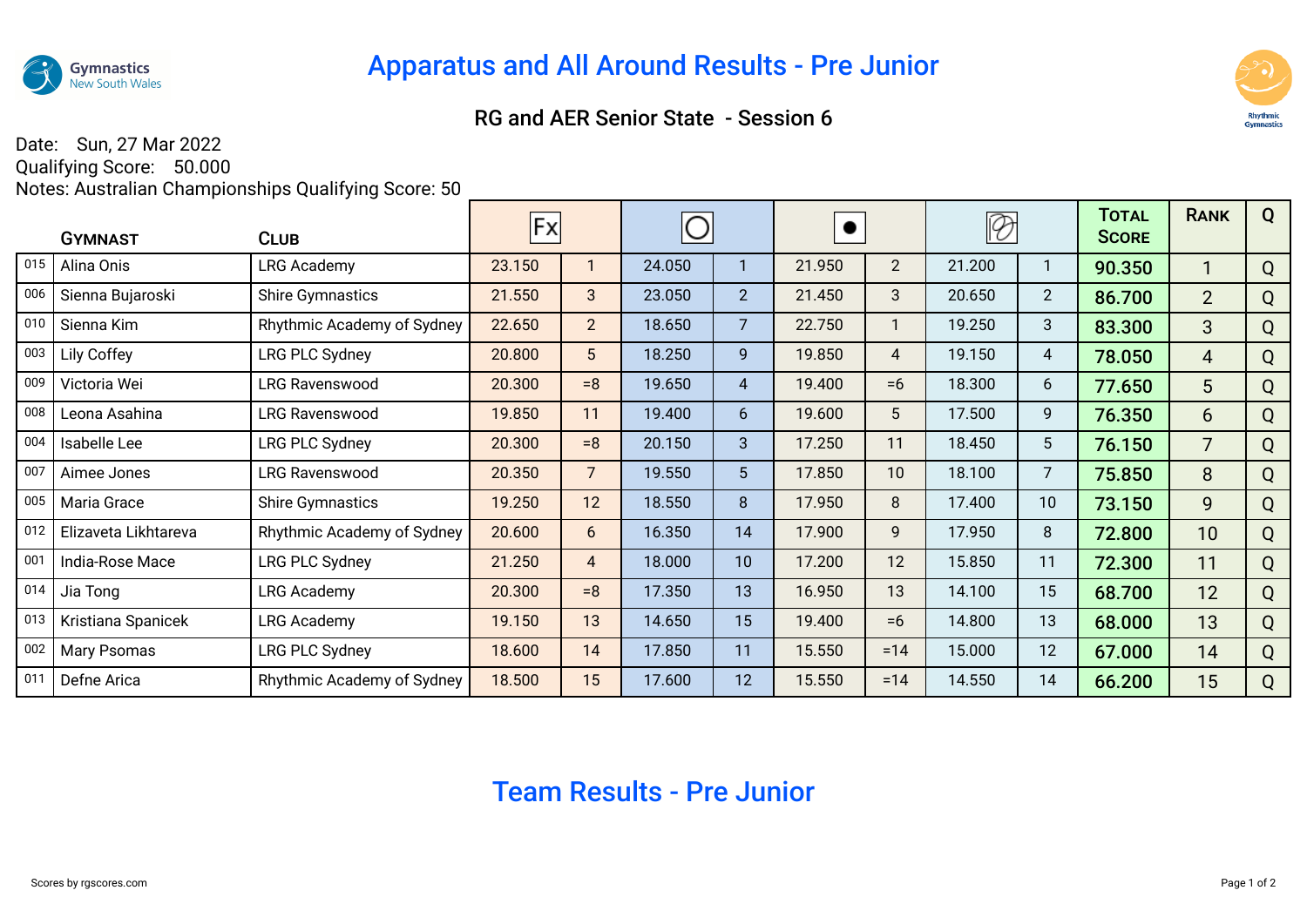

## RG and AER Senior State - Session 6



## Date: Sun, 27 Mar 2022 Qualifying Score: 50.000

Notes: Australian Championships Qualifying Score: 50

|     | <b>GYMNAST</b>       | <b>CLUB</b>                | Fx     |                |        |                | $\bullet$ |                | Ø      |                | <b>TOTAL</b><br><b>SCORE</b> | <b>RANK</b>    | Q |
|-----|----------------------|----------------------------|--------|----------------|--------|----------------|-----------|----------------|--------|----------------|------------------------------|----------------|---|
| 015 | Alina Onis           | <b>LRG Academy</b>         | 23.150 |                | 24.050 |                | 21.950    | $\overline{2}$ | 21.200 |                | 90.350                       |                | Q |
| 006 | Sienna Bujaroski     | <b>Shire Gymnastics</b>    | 21.550 | 3              | 23.050 | 2 <sup>2</sup> | 21.450    | 3              | 20.650 | $\overline{2}$ | 86.700                       | 2 <sup>2</sup> | Q |
| 010 | Sienna Kim           | Rhythmic Academy of Sydney | 22.650 | 2 <sup>1</sup> | 18.650 | $\overline{7}$ | 22.750    |                | 19.250 | 3              | 83.300                       | 3 <sup>1</sup> | Q |
| 003 | Lily Coffey          | LRG PLC Sydney             | 20.800 | 5 <sup>5</sup> | 18.250 | 9              | 19.850    | 4              | 19.150 | 4              | 78.050                       | $\overline{4}$ | Q |
| 009 | Victoria Wei         | <b>LRG Ravenswood</b>      | 20.300 | $= 8$          | 19.650 | $\overline{4}$ | 19.400    | $=6$           | 18.300 | 6              | 77.650                       | 5              | Q |
| 008 | Leona Asahina        | <b>LRG Ravenswood</b>      | 19.850 | 11             | 19.400 | 6              | 19.600    | 5              | 17.500 | 9              | 76.350                       | 6              | Q |
| 004 | Isabelle Lee         | LRG PLC Sydney             | 20.300 | $= 8$          | 20.150 | 3              | 17.250    | 11             | 18.450 | 5              | 76.150                       | $\overline{7}$ | Q |
| 007 | Aimee Jones          | <b>LRG Ravenswood</b>      | 20.350 | $\overline{7}$ | 19.550 | 5 <sup>5</sup> | 17.850    | 10             | 18.100 | $\overline{7}$ | 75.850                       | 8              | Q |
| 005 | Maria Grace          | <b>Shire Gymnastics</b>    | 19.250 | 12             | 18.550 | 8              | 17.950    | 8              | 17.400 | 10             | 73.150                       | 9              | Q |
| 012 | Elizaveta Likhtareva | Rhythmic Academy of Sydney | 20.600 | 6              | 16.350 | 14             | 17.900    | 9              | 17.950 | 8              | 72.800                       | 10             | Q |
| 001 | India-Rose Mace      | LRG PLC Sydney             | 21.250 | 4              | 18.000 | 10             | 17.200    | 12             | 15.850 | 11             | 72.300                       | 11             | Q |
| 014 | Jia Tong             | <b>LRG Academy</b>         | 20.300 | $= 8$          | 17.350 | 13             | 16.950    | 13             | 14.100 | 15             | 68.700                       | 12             | Q |
| 013 | Kristiana Spanicek   | <b>LRG Academy</b>         | 19.150 | 13             | 14.650 | 15             | 19.400    | $=6$           | 14.800 | 13             | 68.000                       | 13             | Q |
| 002 | Mary Psomas          | <b>LRG PLC Sydney</b>      | 18.600 | 14             | 17.850 | 11             | 15.550    | $=14$          | 15.000 | 12             | 67.000                       | 14             | Q |
| 011 | Defne Arica          | Rhythmic Academy of Sydney | 18.500 | 15             | 17.600 | 12             | 15.550    | $=14$          | 14.550 | 14             | 66.200                       | 15             | Q |

## Team Results - Pre Junior